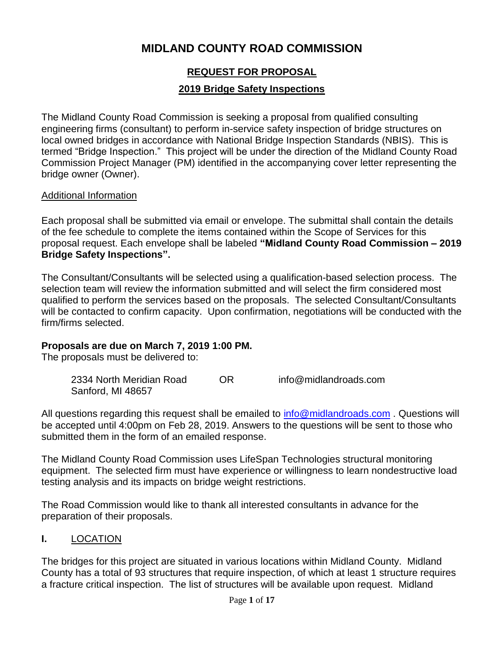# **MIDLAND COUNTY ROAD COMMISSION**

# **REQUEST FOR PROPOSAL**

#### **2019 Bridge Safety Inspections**

The Midland County Road Commission is seeking a proposal from qualified consulting engineering firms (consultant) to perform in-service safety inspection of bridge structures on local owned bridges in accordance with National Bridge Inspection Standards (NBIS). This is termed "Bridge Inspection." This project will be under the direction of the Midland County Road Commission Project Manager (PM) identified in the accompanying cover letter representing the bridge owner (Owner).

#### Additional Information

Each proposal shall be submitted via email or envelope. The submittal shall contain the details of the fee schedule to complete the items contained within the Scope of Services for this proposal request. Each envelope shall be labeled **"Midland County Road Commission – 2019 Bridge Safety Inspections".** 

The Consultant/Consultants will be selected using a qualification-based selection process. The selection team will review the information submitted and will select the firm considered most qualified to perform the services based on the proposals. The selected Consultant/Consultants will be contacted to confirm capacity. Upon confirmation, negotiations will be conducted with the firm/firms selected.

#### **Proposals are due on March 7, 2019 1:00 PM.**

The proposals must be delivered to:

| 2334 North Meridian Road | ΩR | info@midlandroads.com |
|--------------------------|----|-----------------------|
| Sanford, MI 48657        |    |                       |

All questions regarding this request shall be emailed to [info@midlandroads.com](mailto:info@midlandroads.com). Questions will be accepted until 4:00pm on Feb 28, 2019. Answers to the questions will be sent to those who submitted them in the form of an emailed response.

The Midland County Road Commission uses LifeSpan Technologies structural monitoring equipment. The selected firm must have experience or willingness to learn nondestructive load testing analysis and its impacts on bridge weight restrictions.

The Road Commission would like to thank all interested consultants in advance for the preparation of their proposals.

#### **I.** LOCATION

The bridges for this project are situated in various locations within Midland County. Midland County has a total of 93 structures that require inspection, of which at least 1 structure requires a fracture critical inspection. The list of structures will be available upon request. Midland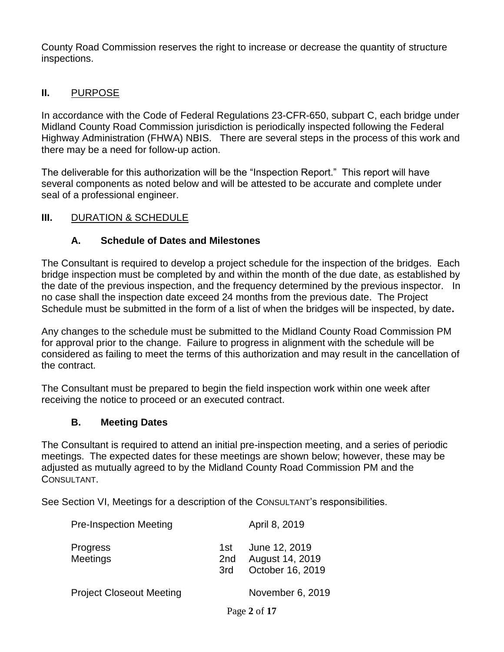County Road Commission reserves the right to increase or decrease the quantity of structure inspections.

#### **II.** PURPOSE

In accordance with the Code of Federal Regulations 23-CFR-650, subpart C, each bridge under Midland County Road Commission jurisdiction is periodically inspected following the Federal Highway Administration (FHWA) NBIS. There are several steps in the process of this work and there may be a need for follow-up action.

The deliverable for this authorization will be the "Inspection Report." This report will have several components as noted below and will be attested to be accurate and complete under seal of a professional engineer.

#### **III.** DURATION & SCHEDULE

#### **A. Schedule of Dates and Milestones**

The Consultant is required to develop a project schedule for the inspection of the bridges. Each bridge inspection must be completed by and within the month of the due date, as established by the date of the previous inspection, and the frequency determined by the previous inspector. In no case shall the inspection date exceed 24 months from the previous date. The Project Schedule must be submitted in the form of a list of when the bridges will be inspected, by date**.**

Any changes to the schedule must be submitted to the Midland County Road Commission PM for approval prior to the change. Failure to progress in alignment with the schedule will be considered as failing to meet the terms of this authorization and may result in the cancellation of the contract.

The Consultant must be prepared to begin the field inspection work within one week after receiving the notice to proceed or an executed contract.

#### **B. Meeting Dates**

The Consultant is required to attend an initial pre-inspection meeting, and a series of periodic meetings. The expected dates for these meetings are shown below; however, these may be adjusted as mutually agreed to by the Midland County Road Commission PM and the CONSULTANT.

See Section VI, Meetings for a description of the CONSULTANT's responsibilities.

| <b>Pre-Inspection Meeting</b>      |                     | April 8, 2019                                        |
|------------------------------------|---------------------|------------------------------------------------------|
| <b>Progress</b><br><b>Meetings</b> | 1st l<br>2nd<br>3rd | June 12, 2019<br>August 14, 2019<br>October 16, 2019 |

Project Closeout Meeting November 6, 2019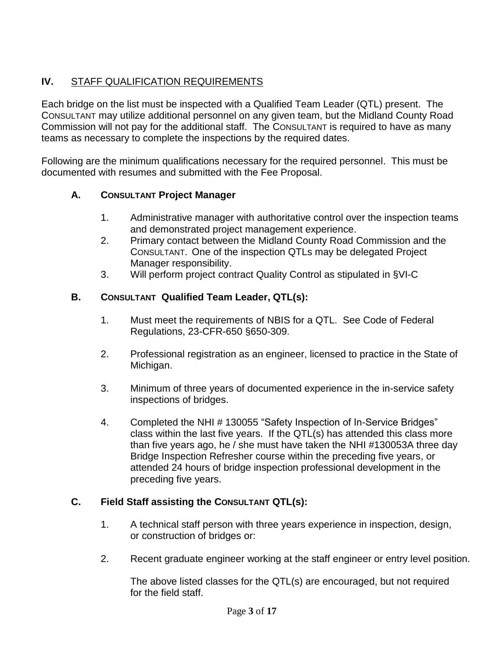### **IV.** STAFF QUALIFICATION REQUIREMENTS

Each bridge on the list must be inspected with a Qualified Team Leader (QTL) present. The CONSULTANT may utilize additional personnel on any given team, but the Midland County Road Commission will not pay for the additional staff. The CONSULTANT is required to have as many teams as necessary to complete the inspections by the required dates.

Following are the minimum qualifications necessary for the required personnel. This must be documented with resumes and submitted with the Fee Proposal.

### **A. CONSULTANT Project Manager**

- 1. Administrative manager with authoritative control over the inspection teams and demonstrated project management experience.
- 2. Primary contact between the Midland County Road Commission and the CONSULTANT. One of the inspection QTLs may be delegated Project Manager responsibility.
- 3. Will perform project contract Quality Control as stipulated in §VI-C

#### **B. CONSULTANT Qualified Team Leader, QTL(s):**

- 1. Must meet the requirements of NBIS for a QTL. See Code of Federal Regulations, 23-CFR-650 §650-309.
- 2. Professional registration as an engineer, licensed to practice in the State of Michigan.
- 3. Minimum of three years of documented experience in the in-service safety inspections of bridges.
- 4. Completed the NHI # 130055 "Safety Inspection of In-Service Bridges" class within the last five years. If the QTL(s) has attended this class more than five years ago, he / she must have taken the NHI #130053A three day Bridge Inspection Refresher course within the preceding five years, or attended 24 hours of bridge inspection professional development in the preceding five years.

#### **C. Field Staff assisting the CONSULTANT QTL(s):**

- 1. A technical staff person with three years experience in inspection, design, or construction of bridges or:
- 2. Recent graduate engineer working at the staff engineer or entry level position.

The above listed classes for the QTL(s) are encouraged, but not required for the field staff.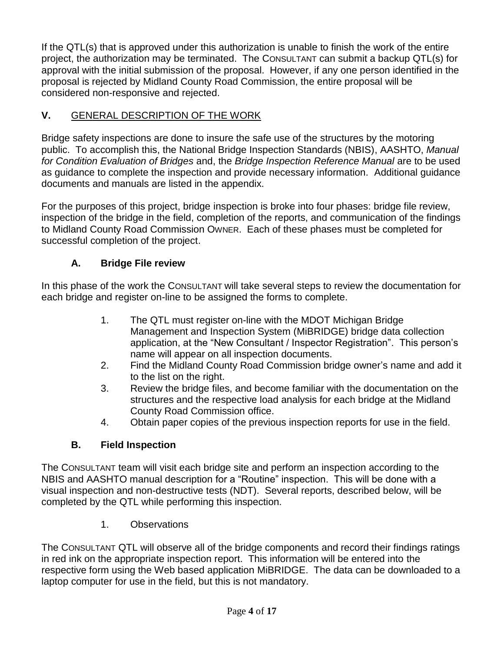If the QTL(s) that is approved under this authorization is unable to finish the work of the entire project, the authorization may be terminated. The CONSULTANT can submit a backup QTL(s) for approval with the initial submission of the proposal. However, if any one person identified in the proposal is rejected by Midland County Road Commission, the entire proposal will be considered non-responsive and rejected.

# **V.** GENERAL DESCRIPTION OF THE WORK

Bridge safety inspections are done to insure the safe use of the structures by the motoring public. To accomplish this, the National Bridge Inspection Standards (NBIS), AASHTO, *Manual for Condition Evaluation of Bridges* and, the *Bridge Inspection Reference Manual* are to be used as guidance to complete the inspection and provide necessary information. Additional guidance documents and manuals are listed in the appendix.

For the purposes of this project, bridge inspection is broke into four phases: bridge file review, inspection of the bridge in the field, completion of the reports, and communication of the findings to Midland County Road Commission OWNER. Each of these phases must be completed for successful completion of the project.

# **A. Bridge File review**

In this phase of the work the CONSULTANT will take several steps to review the documentation for each bridge and register on-line to be assigned the forms to complete.

- 1. The QTL must register on-line with the MDOT Michigan Bridge Management and Inspection System (MiBRIDGE) bridge data collection application, at the "New Consultant / Inspector Registration". This person's name will appear on all inspection documents.
- 2. Find the Midland County Road Commission bridge owner's name and add it to the list on the right.
- 3. Review the bridge files, and become familiar with the documentation on the structures and the respective load analysis for each bridge at the Midland County Road Commission office.
- 4. Obtain paper copies of the previous inspection reports for use in the field.

# **B. Field Inspection**

The CONSULTANT team will visit each bridge site and perform an inspection according to the NBIS and AASHTO manual description for a "Routine" inspection. This will be done with a visual inspection and non-destructive tests (NDT). Several reports, described below, will be completed by the QTL while performing this inspection.

1. Observations

The CONSULTANT QTL will observe all of the bridge components and record their findings ratings in red ink on the appropriate inspection report. This information will be entered into the respective form using the Web based application MiBRIDGE. The data can be downloaded to a laptop computer for use in the field, but this is not mandatory.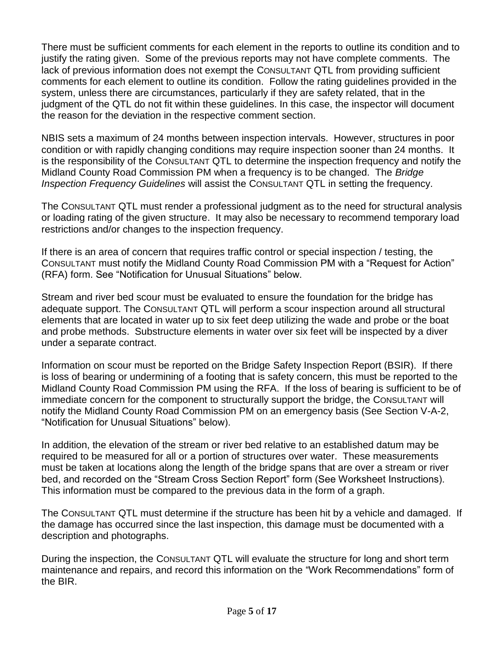There must be sufficient comments for each element in the reports to outline its condition and to justify the rating given. Some of the previous reports may not have complete comments. The lack of previous information does not exempt the CONSULTANT QTL from providing sufficient comments for each element to outline its condition. Follow the rating guidelines provided in the system, unless there are circumstances, particularly if they are safety related, that in the judgment of the QTL do not fit within these guidelines. In this case, the inspector will document the reason for the deviation in the respective comment section.

NBIS sets a maximum of 24 months between inspection intervals. However, structures in poor condition or with rapidly changing conditions may require inspection sooner than 24 months. It is the responsibility of the CONSULTANT QTL to determine the inspection frequency and notify the Midland County Road Commission PM when a frequency is to be changed. The *Bridge Inspection Frequency Guidelines* will assist the CONSULTANT QTL in setting the frequency.

The CONSULTANT QTL must render a professional judgment as to the need for structural analysis or loading rating of the given structure. It may also be necessary to recommend temporary load restrictions and/or changes to the inspection frequency.

If there is an area of concern that requires traffic control or special inspection / testing, the CONSULTANT must notify the Midland County Road Commission PM with a "Request for Action" (RFA) form. See "Notification for Unusual Situations" below.

Stream and river bed scour must be evaluated to ensure the foundation for the bridge has adequate support. The CONSULTANT QTL will perform a scour inspection around all structural elements that are located in water up to six feet deep utilizing the wade and probe or the boat and probe methods. Substructure elements in water over six feet will be inspected by a diver under a separate contract.

Information on scour must be reported on the Bridge Safety Inspection Report (BSIR). If there is loss of bearing or undermining of a footing that is safety concern, this must be reported to the Midland County Road Commission PM using the RFA. If the loss of bearing is sufficient to be of immediate concern for the component to structurally support the bridge, the CONSULTANT will notify the Midland County Road Commission PM on an emergency basis (See Section V-A-2, "Notification for Unusual Situations" below).

In addition, the elevation of the stream or river bed relative to an established datum may be required to be measured for all or a portion of structures over water. These measurements must be taken at locations along the length of the bridge spans that are over a stream or river bed, and recorded on the "Stream Cross Section Report" form (See Worksheet Instructions). This information must be compared to the previous data in the form of a graph.

The CONSULTANT QTL must determine if the structure has been hit by a vehicle and damaged. If the damage has occurred since the last inspection, this damage must be documented with a description and photographs.

During the inspection, the CONSULTANT QTL will evaluate the structure for long and short term maintenance and repairs, and record this information on the "Work Recommendations" form of the BIR.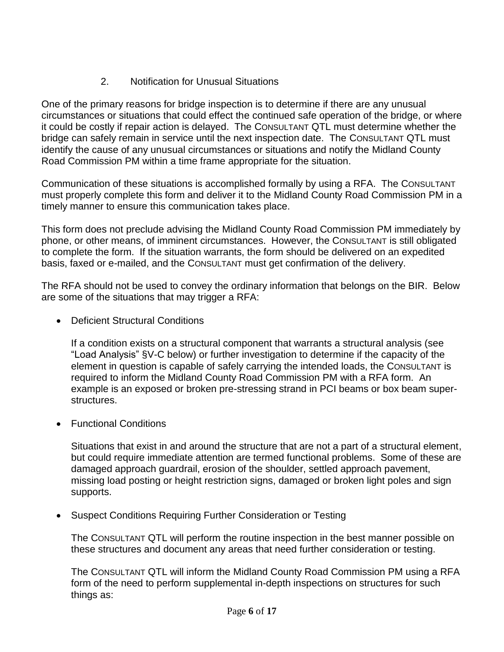# 2. Notification for Unusual Situations

One of the primary reasons for bridge inspection is to determine if there are any unusual circumstances or situations that could effect the continued safe operation of the bridge, or where it could be costly if repair action is delayed. The CONSULTANT QTL must determine whether the bridge can safely remain in service until the next inspection date. The CONSULTANT QTL must identify the cause of any unusual circumstances or situations and notify the Midland County Road Commission PM within a time frame appropriate for the situation.

Communication of these situations is accomplished formally by using a RFA. The CONSULTANT must properly complete this form and deliver it to the Midland County Road Commission PM in a timely manner to ensure this communication takes place.

This form does not preclude advising the Midland County Road Commission PM immediately by phone, or other means, of imminent circumstances. However, the CONSULTANT is still obligated to complete the form. If the situation warrants, the form should be delivered on an expedited basis, faxed or e-mailed, and the CONSULTANT must get confirmation of the delivery.

The RFA should not be used to convey the ordinary information that belongs on the BIR. Below are some of the situations that may trigger a RFA:

• Deficient Structural Conditions

If a condition exists on a structural component that warrants a structural analysis (see "Load Analysis" §V-C below) or further investigation to determine if the capacity of the element in question is capable of safely carrying the intended loads, the CONSULTANT is required to inform the Midland County Road Commission PM with a RFA form. An example is an exposed or broken pre-stressing strand in PCI beams or box beam superstructures.

• Functional Conditions

Situations that exist in and around the structure that are not a part of a structural element, but could require immediate attention are termed functional problems. Some of these are damaged approach guardrail, erosion of the shoulder, settled approach pavement, missing load posting or height restriction signs, damaged or broken light poles and sign supports.

• Suspect Conditions Requiring Further Consideration or Testing

The CONSULTANT QTL will perform the routine inspection in the best manner possible on these structures and document any areas that need further consideration or testing.

The CONSULTANT QTL will inform the Midland County Road Commission PM using a RFA form of the need to perform supplemental in-depth inspections on structures for such things as: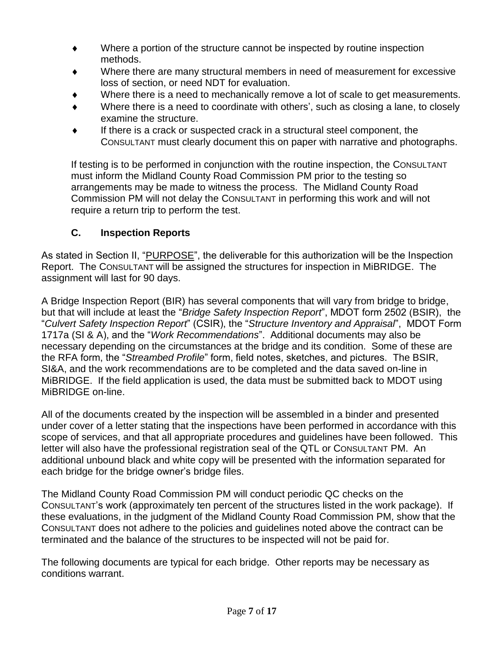- Where a portion of the structure cannot be inspected by routine inspection methods.
- Where there are many structural members in need of measurement for excessive loss of section, or need NDT for evaluation.
- Where there is a need to mechanically remove a lot of scale to get measurements.
- Where there is a need to coordinate with others', such as closing a lane, to closely examine the structure.
- If there is a crack or suspected crack in a structural steel component, the CONSULTANT must clearly document this on paper with narrative and photographs.

If testing is to be performed in conjunction with the routine inspection, the CONSULTANT must inform the Midland County Road Commission PM prior to the testing so arrangements may be made to witness the process. The Midland County Road Commission PM will not delay the CONSULTANT in performing this work and will not require a return trip to perform the test.

### **C. Inspection Reports**

As stated in Section II, "PURPOSE", the deliverable for this authorization will be the Inspection Report. The CONSULTANT will be assigned the structures for inspection in MiBRIDGE. The assignment will last for 90 days.

A Bridge Inspection Report (BIR) has several components that will vary from bridge to bridge, but that will include at least the "*Bridge Safety Inspection Report*", MDOT form 2502 (BSIR), the "*Culvert Safety Inspection Report*" (CSIR), the "*Structure Inventory and Appraisal*", MDOT Form 1717a (SI & A), and the "*Work Recommendations*". Additional documents may also be necessary depending on the circumstances at the bridge and its condition. Some of these are the RFA form, the "*Streambed Profile*" form, field notes, sketches, and pictures. The BSIR, SI&A, and the work recommendations are to be completed and the data saved on-line in MiBRIDGE. If the field application is used, the data must be submitted back to MDOT using MiBRIDGE on-line.

All of the documents created by the inspection will be assembled in a binder and presented under cover of a letter stating that the inspections have been performed in accordance with this scope of services, and that all appropriate procedures and guidelines have been followed. This letter will also have the professional registration seal of the QTL or CONSULTANT PM. An additional unbound black and white copy will be presented with the information separated for each bridge for the bridge owner's bridge files.

The Midland County Road Commission PM will conduct periodic QC checks on the CONSULTANT's work (approximately ten percent of the structures listed in the work package). If these evaluations, in the judgment of the Midland County Road Commission PM, show that the CONSULTANT does not adhere to the policies and guidelines noted above the contract can be terminated and the balance of the structures to be inspected will not be paid for.

The following documents are typical for each bridge. Other reports may be necessary as conditions warrant.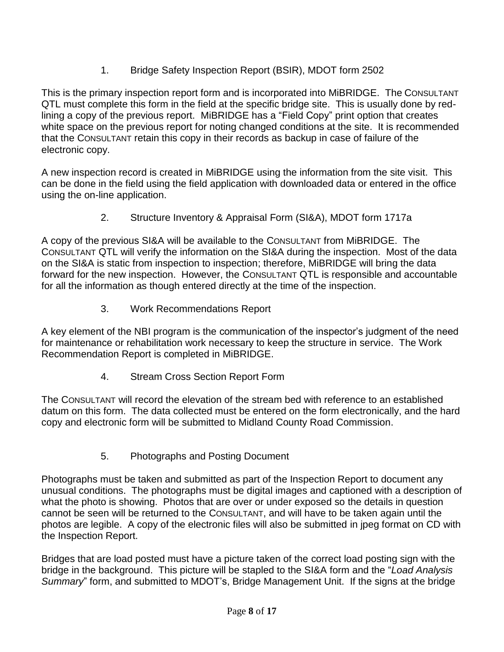1. Bridge Safety Inspection Report (BSIR), MDOT form 2502

This is the primary inspection report form and is incorporated into MiBRIDGE. The CONSULTANT QTL must complete this form in the field at the specific bridge site. This is usually done by redlining a copy of the previous report. MiBRIDGE has a "Field Copy" print option that creates white space on the previous report for noting changed conditions at the site. It is recommended that the CONSULTANT retain this copy in their records as backup in case of failure of the electronic copy.

A new inspection record is created in MiBRIDGE using the information from the site visit. This can be done in the field using the field application with downloaded data or entered in the office using the on-line application.

2. Structure Inventory & Appraisal Form (SI&A), MDOT form 1717a

A copy of the previous SI&A will be available to the CONSULTANT from MiBRIDGE. The CONSULTANT QTL will verify the information on the SI&A during the inspection. Most of the data on the SI&A is static from inspection to inspection; therefore, MiBRIDGE will bring the data forward for the new inspection. However, the CONSULTANT QTL is responsible and accountable for all the information as though entered directly at the time of the inspection.

3. Work Recommendations Report

A key element of the NBI program is the communication of the inspector's judgment of the need for maintenance or rehabilitation work necessary to keep the structure in service. The Work Recommendation Report is completed in MiBRIDGE.

4. Stream Cross Section Report Form

The CONSULTANT will record the elevation of the stream bed with reference to an established datum on this form. The data collected must be entered on the form electronically, and the hard copy and electronic form will be submitted to Midland County Road Commission.

5. Photographs and Posting Document

Photographs must be taken and submitted as part of the Inspection Report to document any unusual conditions. The photographs must be digital images and captioned with a description of what the photo is showing. Photos that are over or under exposed so the details in question cannot be seen will be returned to the CONSULTANT, and will have to be taken again until the photos are legible. A copy of the electronic files will also be submitted in jpeg format on CD with the Inspection Report.

Bridges that are load posted must have a picture taken of the correct load posting sign with the bridge in the background. This picture will be stapled to the SI&A form and the "*Load Analysis Summary*" form, and submitted to MDOT's, Bridge Management Unit. If the signs at the bridge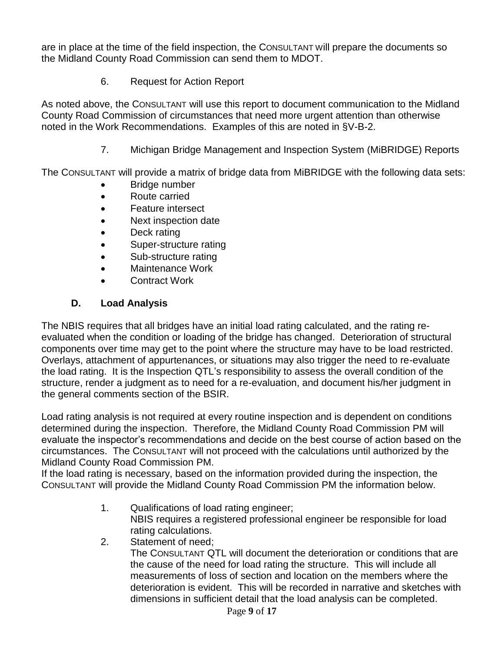are in place at the time of the field inspection, the CONSULTANT Will prepare the documents so the Midland County Road Commission can send them to MDOT.

6. Request for Action Report

As noted above, the CONSULTANT will use this report to document communication to the Midland County Road Commission of circumstances that need more urgent attention than otherwise noted in the Work Recommendations. Examples of this are noted in §V-B-2.

7. Michigan Bridge Management and Inspection System (MiBRIDGE) Reports

The CONSULTANT will provide a matrix of bridge data from MiBRIDGE with the following data sets:

- **Bridge number**
- Route carried
- Feature intersect
- Next inspection date
- Deck rating
- Super-structure rating
- Sub-structure rating
- Maintenance Work
- Contract Work

### **D. Load Analysis**

The NBIS requires that all bridges have an initial load rating calculated, and the rating reevaluated when the condition or loading of the bridge has changed. Deterioration of structural components over time may get to the point where the structure may have to be load restricted. Overlays, attachment of appurtenances, or situations may also trigger the need to re-evaluate the load rating. It is the Inspection QTL's responsibility to assess the overall condition of the structure, render a judgment as to need for a re-evaluation, and document his/her judgment in the general comments section of the BSIR.

Load rating analysis is not required at every routine inspection and is dependent on conditions determined during the inspection. Therefore, the Midland County Road Commission PM will evaluate the inspector's recommendations and decide on the best course of action based on the circumstances. The CONSULTANT will not proceed with the calculations until authorized by the Midland County Road Commission PM.

If the load rating is necessary, based on the information provided during the inspection, the CONSULTANT will provide the Midland County Road Commission PM the information below.

- 1. Qualifications of load rating engineer; NBIS requires a registered professional engineer be responsible for load rating calculations.
- 2. Statement of need;

The CONSULTANT QTL will document the deterioration or conditions that are the cause of the need for load rating the structure. This will include all measurements of loss of section and location on the members where the deterioration is evident. This will be recorded in narrative and sketches with dimensions in sufficient detail that the load analysis can be completed.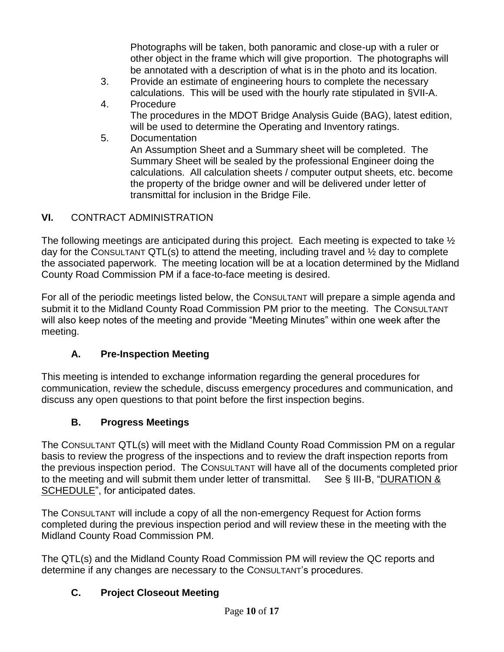Photographs will be taken, both panoramic and close-up with a ruler or other object in the frame which will give proportion. The photographs will be annotated with a description of what is in the photo and its location.

- 3. Provide an estimate of engineering hours to complete the necessary calculations. This will be used with the hourly rate stipulated in §VII-A.
- 4. Procedure

The procedures in the MDOT Bridge Analysis Guide (BAG), latest edition, will be used to determine the Operating and Inventory ratings.

5. Documentation

An Assumption Sheet and a Summary sheet will be completed. The Summary Sheet will be sealed by the professional Engineer doing the calculations. All calculation sheets / computer output sheets, etc. become the property of the bridge owner and will be delivered under letter of transmittal for inclusion in the Bridge File.

### **VI.** CONTRACT ADMINISTRATION

The following meetings are anticipated during this project. Each meeting is expected to take  $\frac{1}{2}$ day for the CONSULTANT QTL(s) to attend the meeting, including travel and  $\frac{1}{2}$  day to complete the associated paperwork. The meeting location will be at a location determined by the Midland County Road Commission PM if a face-to-face meeting is desired.

For all of the periodic meetings listed below, the CONSULTANT will prepare a simple agenda and submit it to the Midland County Road Commission PM prior to the meeting. The CONSULTANT will also keep notes of the meeting and provide "Meeting Minutes" within one week after the meeting.

### **A. Pre-Inspection Meeting**

This meeting is intended to exchange information regarding the general procedures for communication, review the schedule, discuss emergency procedures and communication, and discuss any open questions to that point before the first inspection begins.

### **B. Progress Meetings**

The CONSULTANT QTL(s) will meet with the Midland County Road Commission PM on a regular basis to review the progress of the inspections and to review the draft inspection reports from the previous inspection period. The CONSULTANT will have all of the documents completed prior to the meeting and will submit them under letter of transmittal. See § III-B, "DURATION & SCHEDULE", for anticipated dates.

The CONSULTANT will include a copy of all the non-emergency Request for Action forms completed during the previous inspection period and will review these in the meeting with the Midland County Road Commission PM.

The QTL(s) and the Midland County Road Commission PM will review the QC reports and determine if any changes are necessary to the CONSULTANT's procedures.

### **C. Project Closeout Meeting**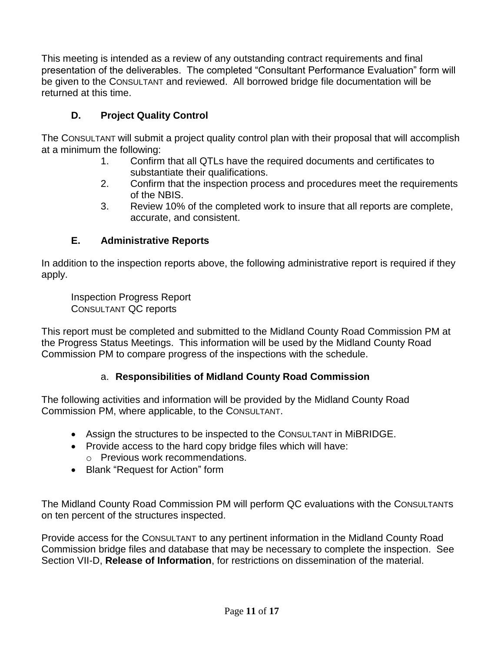This meeting is intended as a review of any outstanding contract requirements and final presentation of the deliverables. The completed "Consultant Performance Evaluation" form will be given to the CONSULTANT and reviewed. All borrowed bridge file documentation will be returned at this time.

# **D. Project Quality Control**

The CONSULTANT will submit a project quality control plan with their proposal that will accomplish at a minimum the following:

- 1. Confirm that all QTLs have the required documents and certificates to substantiate their qualifications.
- 2. Confirm that the inspection process and procedures meet the requirements of the NBIS.
- 3. Review 10% of the completed work to insure that all reports are complete, accurate, and consistent.

#### **E. Administrative Reports**

In addition to the inspection reports above, the following administrative report is required if they apply.

Inspection Progress Report CONSULTANT QC reports

This report must be completed and submitted to the Midland County Road Commission PM at the Progress Status Meetings. This information will be used by the Midland County Road Commission PM to compare progress of the inspections with the schedule.

### a. **Responsibilities of Midland County Road Commission**

The following activities and information will be provided by the Midland County Road Commission PM, where applicable, to the CONSULTANT.

- Assign the structures to be inspected to the CONSULTANT in MiBRIDGE.
- Provide access to the hard copy bridge files which will have:
- o Previous work recommendations. • Blank "Request for Action" form
- 

The Midland County Road Commission PM will perform QC evaluations with the CONSULTANTs on ten percent of the structures inspected.

Provide access for the CONSULTANT to any pertinent information in the Midland County Road Commission bridge files and database that may be necessary to complete the inspection. See Section VII-D, **Release of Information**, for restrictions on dissemination of the material.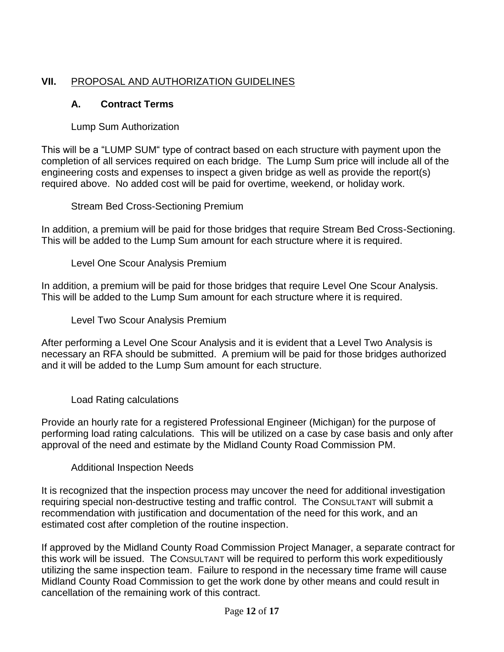# **VII.** PROPOSAL AND AUTHORIZATION GUIDELINES

# **A. Contract Terms**

### Lump Sum Authorization

This will be a "LUMP SUM" type of contract based on each structure with payment upon the completion of all services required on each bridge. The Lump Sum price will include all of the engineering costs and expenses to inspect a given bridge as well as provide the report(s) required above. No added cost will be paid for overtime, weekend, or holiday work.

Stream Bed Cross-Sectioning Premium

In addition, a premium will be paid for those bridges that require Stream Bed Cross-Sectioning. This will be added to the Lump Sum amount for each structure where it is required.

Level One Scour Analysis Premium

In addition, a premium will be paid for those bridges that require Level One Scour Analysis. This will be added to the Lump Sum amount for each structure where it is required.

Level Two Scour Analysis Premium

After performing a Level One Scour Analysis and it is evident that a Level Two Analysis is necessary an RFA should be submitted. A premium will be paid for those bridges authorized and it will be added to the Lump Sum amount for each structure.

Load Rating calculations

Provide an hourly rate for a registered Professional Engineer (Michigan) for the purpose of performing load rating calculations. This will be utilized on a case by case basis and only after approval of the need and estimate by the Midland County Road Commission PM.

Additional Inspection Needs

It is recognized that the inspection process may uncover the need for additional investigation requiring special non-destructive testing and traffic control. The CONSULTANT will submit a recommendation with justification and documentation of the need for this work, and an estimated cost after completion of the routine inspection.

If approved by the Midland County Road Commission Project Manager, a separate contract for this work will be issued. The CONSULTANT will be required to perform this work expeditiously utilizing the same inspection team. Failure to respond in the necessary time frame will cause Midland County Road Commission to get the work done by other means and could result in cancellation of the remaining work of this contract.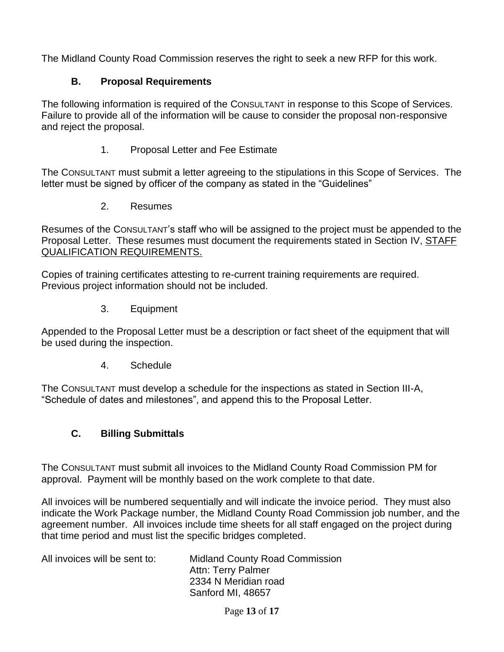The Midland County Road Commission reserves the right to seek a new RFP for this work.

#### **B. Proposal Requirements**

The following information is required of the CONSULTANT in response to this Scope of Services. Failure to provide all of the information will be cause to consider the proposal non-responsive and reject the proposal.

1. Proposal Letter and Fee Estimate

The CONSULTANT must submit a letter agreeing to the stipulations in this Scope of Services. The letter must be signed by officer of the company as stated in the "Guidelines"

2. Resumes

Resumes of the CONSULTANT's staff who will be assigned to the project must be appended to the Proposal Letter. These resumes must document the requirements stated in Section IV, STAFF QUALIFICATION REQUIREMENTS.

Copies of training certificates attesting to re-current training requirements are required. Previous project information should not be included.

3. Equipment

Appended to the Proposal Letter must be a description or fact sheet of the equipment that will be used during the inspection.

4. Schedule

The CONSULTANT must develop a schedule for the inspections as stated in Section III-A, "Schedule of dates and milestones", and append this to the Proposal Letter.

# **C. Billing Submittals**

The CONSULTANT must submit all invoices to the Midland County Road Commission PM for approval. Payment will be monthly based on the work complete to that date.

All invoices will be numbered sequentially and will indicate the invoice period. They must also indicate the Work Package number, the Midland County Road Commission job number, and the agreement number. All invoices include time sheets for all staff engaged on the project during that time period and must list the specific bridges completed.

| All invoices will be sent to: | <b>Midland County Road Commission</b> |
|-------------------------------|---------------------------------------|
|                               | <b>Attn: Terry Palmer</b>             |
|                               | 2334 N Meridian road                  |
|                               | Sanford MI, 48657                     |

Page **13** of **17**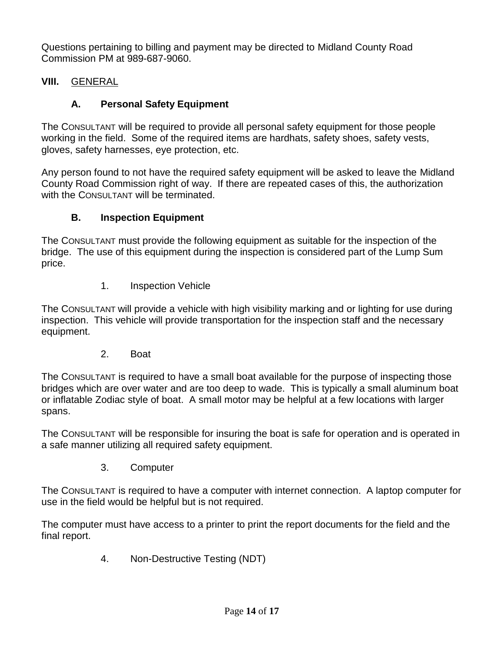Questions pertaining to billing and payment may be directed to Midland County Road Commission PM at 989-687-9060.

### **VIII.** GENERAL

# **A. Personal Safety Equipment**

The CONSULTANT will be required to provide all personal safety equipment for those people working in the field. Some of the required items are hardhats, safety shoes, safety vests, gloves, safety harnesses, eye protection, etc.

Any person found to not have the required safety equipment will be asked to leave the Midland County Road Commission right of way. If there are repeated cases of this, the authorization with the CONSULTANT will be terminated.

### **B. Inspection Equipment**

The CONSULTANT must provide the following equipment as suitable for the inspection of the bridge. The use of this equipment during the inspection is considered part of the Lump Sum price.

1. Inspection Vehicle

The CONSULTANT will provide a vehicle with high visibility marking and or lighting for use during inspection. This vehicle will provide transportation for the inspection staff and the necessary equipment.

2. Boat

The CONSULTANT is required to have a small boat available for the purpose of inspecting those bridges which are over water and are too deep to wade. This is typically a small aluminum boat or inflatable Zodiac style of boat. A small motor may be helpful at a few locations with larger spans.

The CONSULTANT will be responsible for insuring the boat is safe for operation and is operated in a safe manner utilizing all required safety equipment.

3. Computer

The CONSULTANT is required to have a computer with internet connection. A laptop computer for use in the field would be helpful but is not required.

The computer must have access to a printer to print the report documents for the field and the final report.

4. Non-Destructive Testing (NDT)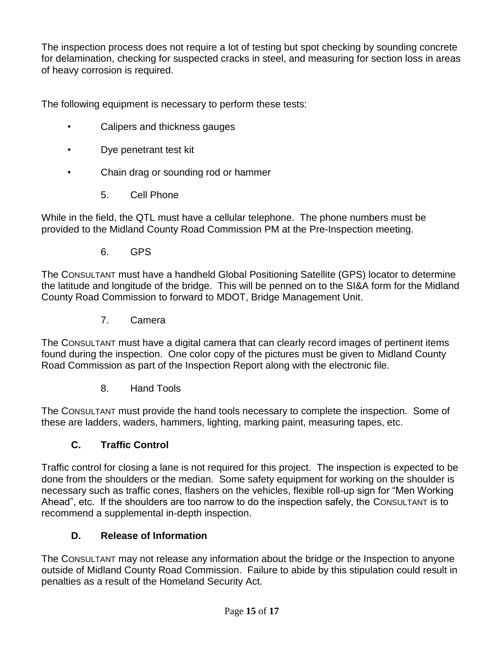The inspection process does not require a lot of testing but spot checking by sounding concrete for delamination, checking for suspected cracks in steel, and measuring for section loss in areas of heavy corrosion is required.

The following equipment is necessary to perform these tests:

- Calipers and thickness gauges
- Dye penetrant test kit
- Chain drag or sounding rod or hammer
	- 5. Cell Phone

While in the field, the QTL must have a cellular telephone. The phone numbers must be provided to the Midland County Road Commission PM at the Pre-Inspection meeting.

6. GPS

The CONSULTANT must have a handheld Global Positioning Satellite (GPS) locator to determine the latitude and longitude of the bridge. This will be penned on to the SI&A form for the Midland County Road Commission to forward to MDOT, Bridge Management Unit.

7. Camera

The CONSULTANT must have a digital camera that can clearly record images of pertinent items found during the inspection. One color copy of the pictures must be given to Midland County Road Commission as part of the Inspection Report along with the electronic file.

8. Hand Tools

The CONSULTANT must provide the hand tools necessary to complete the inspection. Some of these are ladders, waders, hammers, lighting, marking paint, measuring tapes, etc.

### **C. Traffic Control**

Traffic control for closing a lane is not required for this project. The inspection is expected to be done from the shoulders or the median. Some safety equipment for working on the shoulder is necessary such as traffic cones, flashers on the vehicles, flexible roll-up sign for "Men Working Ahead", etc. If the shoulders are too narrow to do the inspection safely, the CONSULTANT is to recommend a supplemental in-depth inspection.

### **D. Release of Information**

The CONSULTANT may not release any information about the bridge or the Inspection to anyone outside of Midland County Road Commission. Failure to abide by this stipulation could result in penalties as a result of the Homeland Security Act.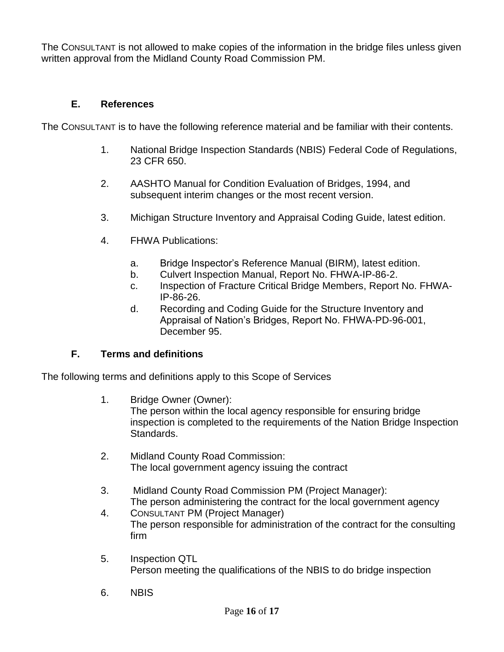The CONSULTANT is not allowed to make copies of the information in the bridge files unless given written approval from the Midland County Road Commission PM.

#### **E. References**

The CONSULTANT is to have the following reference material and be familiar with their contents.

- 1. National Bridge Inspection Standards (NBIS) Federal Code of Regulations, 23 CFR 650.
- 2. AASHTO Manual for Condition Evaluation of Bridges, 1994, and subsequent interim changes or the most recent version.
- 3. Michigan Structure Inventory and Appraisal Coding Guide, latest edition.
- 4. FHWA Publications:
	- a. Bridge Inspector's Reference Manual (BIRM), latest edition.
	- b. Culvert Inspection Manual, Report No. FHWA-IP-86-2.
	- c. Inspection of Fracture Critical Bridge Members, Report No. FHWA-IP-86-26.
	- d. Recording and Coding Guide for the Structure Inventory and Appraisal of Nation's Bridges, Report No. FHWA-PD-96-001, December 95.

#### **F. Terms and definitions**

The following terms and definitions apply to this Scope of Services

1. Bridge Owner (Owner):

The person within the local agency responsible for ensuring bridge inspection is completed to the requirements of the Nation Bridge Inspection Standards.

- 2. Midland County Road Commission: The local government agency issuing the contract
- 3. Midland County Road Commission PM (Project Manager): The person administering the contract for the local government agency
- 4. CONSULTANT PM (Project Manager) The person responsible for administration of the contract for the consulting firm
- 5. Inspection QTL Person meeting the qualifications of the NBIS to do bridge inspection
- 6. NBIS